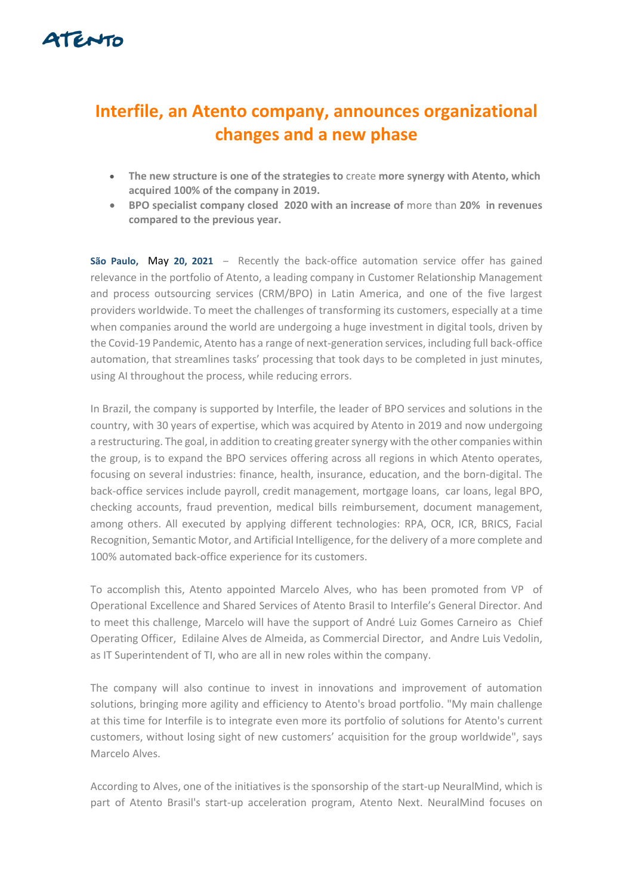

## **Interfile, an Atento company, announces organizational changes and a new phase**

- **The new structure is one of the strategies to** create **more synergy with Atento, which acquired 100% of the company in 2019.**
- **BPO specialist company closed 2020 with an increase of** more than **20% in revenues compared to the previous year.**

**São Paulo,** May **20, 2021** – Recently the back-office automation service offer has gained relevance in the portfolio of Atento, a leading company in Customer Relationship Management and process outsourcing services (CRM/BPO) in Latin America, and one of the five largest providers worldwide. To meet the challenges of transforming its customers, especially at a time when companies around the world are undergoing a huge investment in digital tools, driven by the Covid-19 Pandemic, Atento has a range of next-generation services, including full back-office automation, that streamlines tasks' processing that took days to be completed in just minutes, using AI throughout the process, while reducing errors.

In Brazil, the company is supported by Interfile, the leader of BPO services and solutions in the country, with 30 years of expertise, which was acquired by Atento in 2019 and now undergoing a restructuring. The goal, in addition to creating greater synergy with the other companies within the group, is to expand the BPO services offering across all regions in which Atento operates, focusing on several industries: finance, health, insurance, education, and the born-digital. The back-office services include payroll, credit management, mortgage loans, car loans, legal BPO, checking accounts, fraud prevention, medical bills reimbursement, document management, among others. All executed by applying different technologies: RPA, OCR, ICR, BRICS, Facial Recognition, Semantic Motor, and Artificial Intelligence, for the delivery of a more complete and 100% automated back-office experience for its customers.

To accomplish this, Atento appointed Marcelo Alves, who has been promoted from VP of Operational Excellence and Shared Services of Atento Brasil to Interfile's General Director. And to meet this challenge, Marcelo will have the support of André Luiz Gomes Carneiro as Chief Operating Officer, Edilaine Alves de Almeida, as Commercial Director, and Andre Luis Vedolin, as IT Superintendent of TI, who are all in new roles within the company.

The company will also continue to invest in innovations and improvement of automation solutions, bringing more agility and efficiency to Atento's broad portfolio. "My main challenge at this time for Interfile is to integrate even more its portfolio of solutions for Atento's current customers, without losing sight of new customers' acquisition for the group worldwide", says Marcelo Alves.

According to Alves, one of the initiatives is the sponsorship of the start-up NeuralMind, which is part of Atento Brasil's start-up acceleration program, Atento Next. NeuralMind focuses on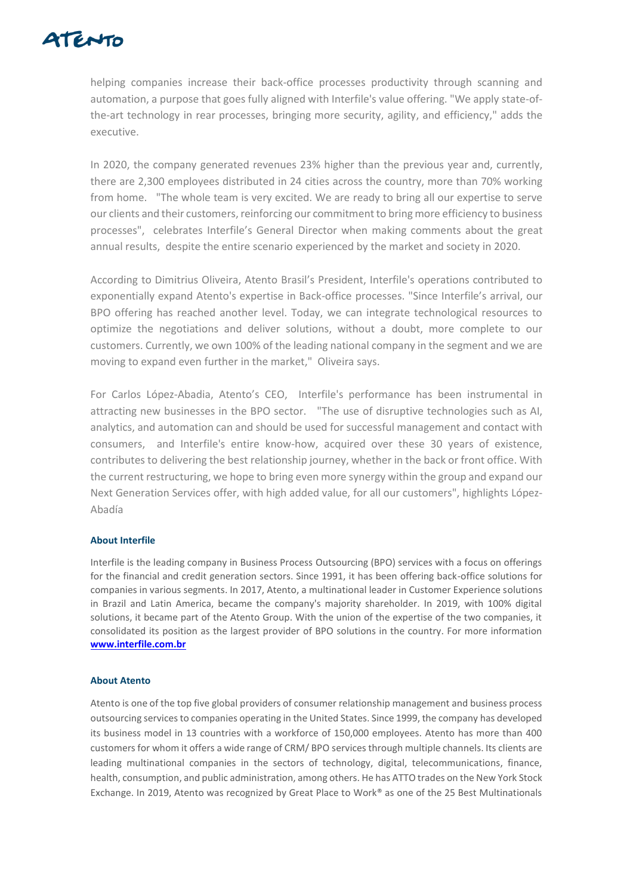

helping companies increase their back-office processes productivity through scanning and automation, a purpose that goes fully aligned with Interfile's value offering. "We apply state-ofthe-art technology in rear processes, bringing more security, agility, and efficiency," adds the executive.

In 2020, the company generated revenues 23% higher than the previous year and, currently, there are 2,300 employees distributed in 24 cities across the country, more than 70% working from home. "The whole team is very excited. We are ready to bring all our expertise to serve our clients and their customers, reinforcing our commitment to bring more efficiency to business processes", celebrates Interfile's General Director when making comments about the great annual results, despite the entire scenario experienced by the market and society in 2020.

According to Dimitrius Oliveira, Atento Brasil's President, Interfile's operations contributed to exponentially expand Atento's expertise in Back-office processes. "Since Interfile's arrival, our BPO offering has reached another level. Today, we can integrate technological resources to optimize the negotiations and deliver solutions, without a doubt, more complete to our customers. Currently, we own 100% of the leading national company in the segment and we are moving to expand even further in the market," Oliveira says.

For Carlos López-Abadia, Atento's CEO, Interfile's performance has been instrumental in attracting new businesses in the BPO sector. "The use of disruptive technologies such as AI, analytics, and automation can and should be used for successful management and contact with consumers, and Interfile's entire know-how, acquired over these 30 years of existence, contributes to delivering the best relationship journey, whether in the back or front office. With the current restructuring, we hope to bring even more synergy within the group and expand our Next Generation Services offer, with high added value, for all our customers", highlights López-Abadía

## **About Interfile**

Interfile is the leading company in Business Process Outsourcing (BPO) services with a focus on offerings for the financial and credit generation sectors. Since 1991, it has been offering back-office solutions for companies in various segments. In 2017, Atento, a multinational leader in Customer Experience solutions in Brazil and Latin America, became the company's majority shareholder. In 2019, with 100% digital solutions, it became part of the Atento Group. With the union of the expertise of the two companies, it consolidated its position as the largest provider of BPO solutions in the country. For more informatio[n](http://www.interfile.com.br/) **[www.interfile.com.br](http://www.interfile.com.br/)**

## **About Atento**

Atento is one of the top five global providers of consumer relationship management and business process outsourcing services to companies operating in the United States. Since 1999, the company has developed its business model in 13 countries with a workforce of 150,000 employees. Atento has more than 400 customers for whom it offers a wide range of CRM/ BPO services through multiple channels. Its clients are leading multinational companies in the sectors of technology, digital, telecommunications, finance, health, consumption, and public administration, among others. He has ATTO trades on the New York Stock Exchange. In 2019, Atento was recognized by Great Place to Work® as one of the 25 Best Multinationals